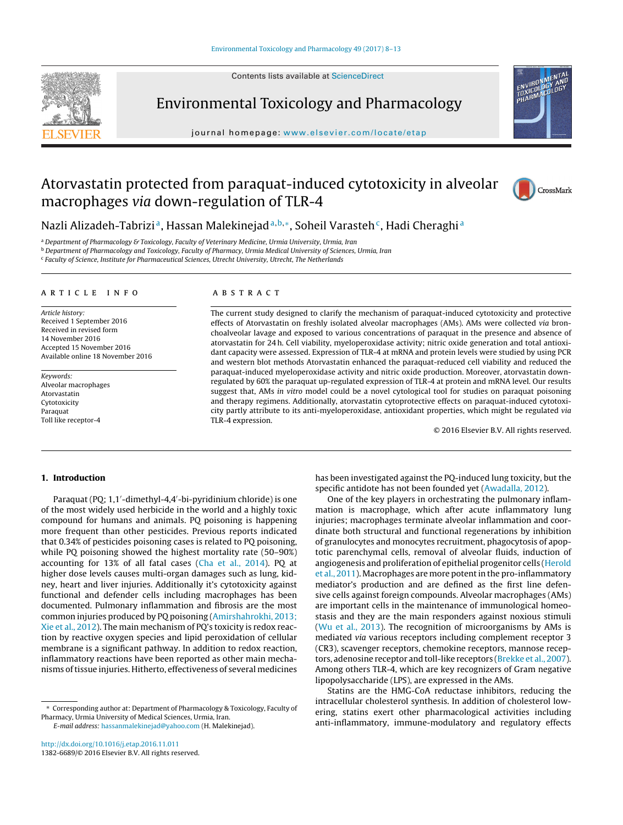Contents lists available at [ScienceDirect](http://www.sciencedirect.com/science/journal/13826689)



Environmental Toxicology and Pharmacology

iournal homepage: [www.elsevier.com/locate/etap](http://www.elsevier.com/locate/etap)



# Atorvastatin protected from paraquat-induced cytotoxicity in alveolar macrophages via down-regulation of TLR-4



Nazli Alizadeh-Tabrizi<sup>a</sup>, Hassan Malekinejad<sup>a, b,∗</sup>, Soheil Varasteh<sup>c</sup>, Hadi Cheraghi<sup>a</sup>

a Department of Pharmacology & Toxicology, Faculty of Veterinary Medicine, Urmia University, Urmia, Iran

<sup>b</sup> Department of Pharmacology and Toxicology, Faculty of Pharmacy, Urmia Medical University of Sciences, Urmia, Iran

<sup>c</sup> Faculty of Science, Institute for Pharmaceutical Sciences, Utrecht University, Utrecht, The Netherlands

## a r t i c l e i n f o

Article history: Received 1 September 2016 Received in revised form 14 November 2016 Accepted 15 November 2016 Available online 18 November 2016

Keywords: Alveolar macrophages Atorvastatin **Cytotoxicity** Paraquat Toll like receptor-4

#### A B S T R A C T

The current study designed to clarify the mechanism of paraquat-induced cytotoxicity and protective effects of Atorvastatin on freshly isolated alveolar macrophages (AMs). AMs were collected via bronchoalveolar lavage and exposed to various concentrations of paraquat in the presence and absence of atorvastatin for 24 h. Cell viability, myeloperoxidase activity; nitric oxide generation and total antioxidant capacity were assessed. Expression of TLR-4 at mRNA and protein levels were studied by using PCR and western blot methods Atorvastatin enhanced the paraquat-reduced cell viability and reduced the paraquat-induced myeloperoxidase activity and nitric oxide production. Moreover, atorvastatin downregulated by 60% the paraquat up-regulated expression of TLR-4 at protein and mRNA level. Our results suggest that, AMs in vitro model could be a novel cytological tool for studies on paraquat poisoning and therapy regimens. Additionally, atorvastatin cytoprotective effects on paraquat-induced cytotoxicity partly attribute to its anti-myeloperoxidase, antioxidant properties, which might be regulated via TLR-4 expression.

© 2016 Elsevier B.V. All rights reserved.

# **1. Introduction**

Paraquat (PQ; 1,1 -dimethyl-4,4 -bi-pyridinium chloride) is one of the most widely used herbicide in the world and a highly toxic compound for humans and animals. PQ poisoning is happening more frequent than other pesticides. Previous reports indicated that 0.34% of pesticides poisoning cases is related to PQ poisoning, while PQ poisoning showed the highest mortality rate (50–90%) accounting for 13% of all fatal cases ([Cha](#page-5-0) et [al.,](#page-5-0) [2014\).](#page-5-0) PQ at higher dose levels causes multi-organ damages such as lung, kidney, heart and liver injuries. Additionally it's cytotoxicity against functional and defender cells including macrophages has been documented. Pulmonary inflammation and fibrosis are the most common injuries produced by PQ poisoning ([Amirshahrokhi,](#page-5-0) [2013;](#page-5-0) [Xie](#page-5-0) et [al.,](#page-5-0) [2012\).](#page-5-0) The main mechanism of PQ's toxicity is redox reaction by reactive oxygen species and lipid peroxidation of cellular membrane is a significant pathway. In addition to redox reaction, inflammatory reactions have been reported as other main mechanisms of tissue injuries. Hitherto, effectiveness of several medicines

∗ Corresponding author at: Department of Pharmacology & Toxicology, Faculty of Pharmacy, Urmia University of Medical Sciences, Urmia, Iran.

E-mail address: [hassanmalekinejad@yahoo.com](mailto:hassanmalekinejad@yahoo.com) (H. Malekinejad).

[http://dx.doi.org/10.1016/j.etap.2016.11.011](dx.doi.org/10.1016/j.etap.2016.11.011) 1382-6689/© 2016 Elsevier B.V. All rights reserved. has been investigated against the PQ-induced lung toxicity, but the specific antidote has not been founded yet ([Awadalla,](#page-5-0) [2012\).](#page-5-0)

One of the key players in orchestrating the pulmonary inflammation is macrophage, which after acute inflammatory lung injuries; macrophages terminate alveolar inflammation and coordinate both structural and functional regenerations by inhibition of granulocytes and monocytes recruitment, phagocytosis of apoptotic parenchymal cells, removal of alveolar fluids, induction of angiogenesis and proliferation of epithelial progenitor cells ([Herold](#page-5-0) et [al.,](#page-5-0) [2011\).](#page-5-0) Macrophages are more potentin the pro-inflammatory mediator's production and are defined as the first line defensive cells against foreign compounds. Alveolar macrophages (AMs) are important cells in the maintenance of immunological homeostasis and they are the main responders against noxious stimuli [\(Wu](#page-5-0) et [al.,](#page-5-0) [2013\).](#page-5-0) The recognition of microorganisms by AMs is mediated via various receptors including complement receptor 3 (CR3), scavenger receptors, chemokine receptors, mannose receptors, adenosine receptor and toll-like receptors [\(Brekke](#page-5-0) et [al.,](#page-5-0) [2007\).](#page-5-0) Among others TLR-4, which are key recognizers of Gram negative lipopolysaccharide (LPS), are expressed in the AMs.

Statins are the HMG-CoA reductase inhibitors, reducing the intracellular cholesterol synthesis. In addition of cholesterol lowering, statins exert other pharmacological activities including anti-inflammatory, immune-modulatory and regulatory effects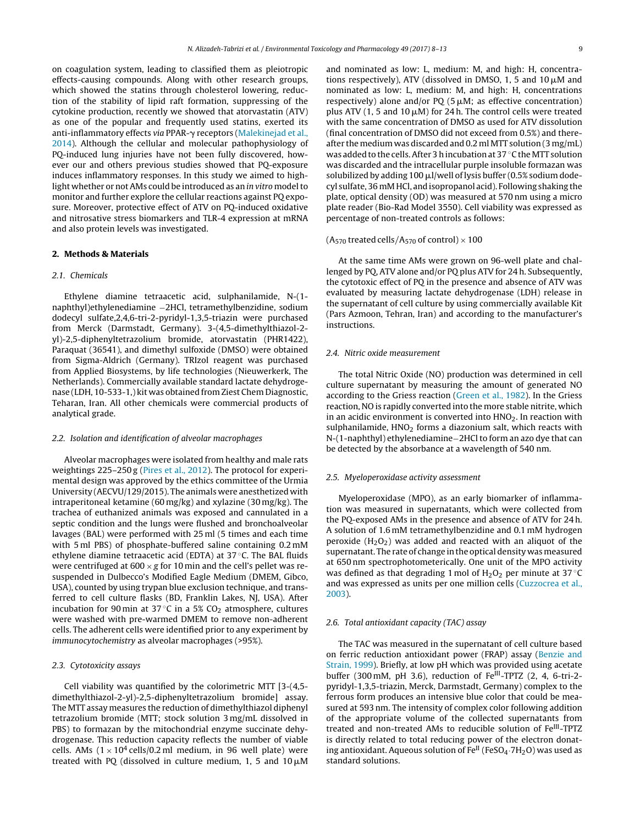on coagulation system, leading to classified them as pleiotropic effects-causing compounds. Along with other research groups, which showed the statins through cholesterol lowering, reduction of the stability of lipid raft formation, suppressing of the cytokine production, recently we showed that atorvastatin (ATV) as one of the popular and frequently used statins, exerted its anti-inflammatory effects via PPAR-γ receptors ([Malekinejad](#page-5-0) et [al.,](#page-5-0) [2014\).](#page-5-0) Although the cellular and molecular pathophysiology of PQ-induced lung injuries have not been fully discovered, however our and others previous studies showed that PQ-exposure induces inflammatory responses. In this study we aimed to highlight whether or not AMs could be introduced as an in vitro model to monitor and further explore the cellular reactions against PQ exposure. Moreover, protective effect of ATV on PQ-induced oxidative and nitrosative stress biomarkers and TLR-4 expression at mRNA and also protein levels was investigated.

# **2. Methods & Materials**

## 2.1. Chemicals

Ethylene diamine tetraacetic acid, sulphanilamide, N-(1 naphthyl)ethylenediamine −2HCl, tetramethylbenzidine, sodium dodecyl sulfate,2,4,6-tri-2-pyridyl-1,3,5-triazin were purchased from Merck (Darmstadt, Germany). 3-(4,5-dimethylthiazol-2 yl)-2,5-diphenyltetrazolium bromide, atorvastatin (PHR1422), Paraquat (36541), and dimethyl sulfoxide (DMSO) were obtained from Sigma-Aldrich (Germany). TRIzol reagent was purchased from Applied Biosystems, by life technologies (Nieuwerkerk, The Netherlands). Commercially available standard lactate dehydrogenase (LDH, 10-533-1,) kit was obtained from Ziest Chem Diagnostic, Teharan, Iran. All other chemicals were commercial products of analytical grade.

## 2.2. Isolation and identification of alveolar macrophages

Alveolar macrophages were isolated from healthy and male rats weightings 225–250 g [\(Pires](#page-5-0) et [al.,](#page-5-0) [2012\).](#page-5-0) The protocol for experimental design was approved by the ethics committee of the Urmia University (AECVU/129/2015). The animals were anesthetized with intraperitoneal ketamine (60 mg/kg) and xylazine (30 mg/kg). The trachea of euthanized animals was exposed and cannulated in a septic condition and the lungs were flushed and bronchoalveolar lavages (BAL) were performed with 25 ml (5 times and each time with 5 ml PBS) of phosphate-buffered saline containing 0.2 mM ethylene diamine tetraacetic acid (EDTA) at 37 ◦C. The BAL fluids were centrifuged at  $600 \times g$  for 10 min and the cell's pellet was resuspended in Dulbecco's Modified Eagle Medium (DMEM, Gibco, USA), counted by using trypan blue exclusion technique, and transferred to cell culture flasks (BD, Franklin Lakes, NJ, USA). After incubation for 90 min at 37 $\degree$ C in a 5% CO<sub>2</sub> atmosphere, cultures were washed with pre-warmed DMEM to remove non-adherent cells. The adherent cells were identified prior to any experiment by immunocytochemistry as alveolar macrophages (>95%).

# 2.3. Cytotoxicity assays

Cell viability was quantified by the colorimetric MTT [3-(4,5 dimethylthiazol-2-yl)-2,5-diphenyltetrazolium bromide] assay. The MTT assay measures the reduction of dimethylthiazol diphenyl tetrazolium bromide (MTT; stock solution 3 mg/mL dissolved in PBS) to formazan by the mitochondrial enzyme succinate dehydrogenase. This reduction capacity reflects the number of viable cells. AMs  $(1 \times 10^4 \text{ cells}/0.2 \text{ ml} \text{ medium}, \text{ in } 96 \text{ well plate})$  were treated with PQ (dissolved in culture medium, 1, 5 and  $10 \mu$ M and nominated as low: L, medium: M, and high: H, concentrations respectively), ATV (dissolved in DMSO, 1, 5 and  $10 \mu$ M and nominated as low: L, medium: M, and high: H, concentrations respectively) alone and/or PQ  $(5 \mu M)$ ; as effective concentration) plus ATV (1, 5 and 10  $\mu$ M) for 24 h. The control cells were treated with the same concentration of DMSO as used for ATV dissolution (final concentration of DMSO did not exceed from 0.5%) and thereafter the medium was discarded and 0.2 ml MTT solution (3 mg/mL) was added to the cells.After 3 h incubation at 37 ◦C theMTT solution was discarded and the intracellular purple insoluble formazan was solubilized by adding 100  $\mu$ l/well of lysis buffer (0.5% sodium dodecyl sulfate, 36 mMHCl, andisopropanol acid). Following shaking the plate, optical density (OD) was measured at 570 nm using a micro plate reader (Bio-Rad Model 3550). Cell viability was expressed as percentage of non-treated controls as follows:

## $(A_{570}$  treated cells/ $A_{570}$  of control)  $\times$  100

At the same time AMs were grown on 96-well plate and challenged by PQ, ATV alone and/or PQ plus ATV for 24 h. Subsequently, the cytotoxic effect of PQ in the presence and absence of ATV was evaluated by measuring lactate dehydrogenase (LDH) release in the supernatant of cell culture by using commercially available Kit (Pars Azmoon, Tehran, Iran) and according to the manufacturer's instructions.

### 2.4. Nitric oxide measurement

The total Nitric Oxide (NO) production was determined in cell culture supernatant by measuring the amount of generated NO according to the Griess reaction [\(Green](#page-5-0) et [al.,](#page-5-0) [1982\).](#page-5-0) In the Griess reaction, NO is rapidly converted into the more stable nitrite, which in an acidic environment is converted into  $HNO<sub>2</sub>$ . In reaction with sulphanilamide,  $HNO<sub>2</sub>$  forms a diazonium salt, which reacts with N-(1-naphthyl) ethylenediamine−2HCl to form an azo dye that can be detected by the absorbance at a wavelength of 540 nm.

## 2.5. Myeloperoxidase activity assessment

Myeloperoxidase (MPO), as an early biomarker of inflammation was measured in supernatants, which were collected from the PQ-exposed AMs in the presence and absence of ATV for 24 h. A solution of 1.6 mM tetramethylbenzidine and 0.1 mM hydrogen peroxide  $(H_2O_2)$  was added and reacted with an aliquot of the supernatant. The rate of change in the optical density was measured at 650 nm spectrophotometerically. One unit of the MPO activity was defined as that degrading 1 mol of  $H_2O_2$  per minute at 37  $\degree$ C and was expressed as units per one million cells [\(Cuzzocrea](#page-5-0) et [al.,](#page-5-0) [2003\).](#page-5-0)

#### 2.6. Total antioxidant capacity (TAC) assay

The TAC was measured in the supernatant of cell culture based on ferric reduction antioxidant power (FRAP) assay ([Benzie](#page-5-0) [and](#page-5-0) [Strain,](#page-5-0) [1999\).](#page-5-0) Briefly, at low pH which was provided using acetate buffer (300 mM, pH 3.6), reduction of  $Fe^{III}$ -TPTZ (2, 4, 6-tri-2pyridyl-1,3,5-triazin, Merck, Darmstadt, Germany) complex to the ferrous form produces an intensive blue color that could be measured at 593 nm. The intensity of complex color following addition of the appropriate volume of the collected supernatants from treated and non-treated AMs to reducible solution of Fe<sup>III</sup>-TPTZ is directly related to total reducing power of the electron donating antioxidant. Aqueous solution of  $Fe^{II}$  (FeSO<sub>4</sub> $\cdot$ 7H<sub>2</sub>O) was used as standard solutions.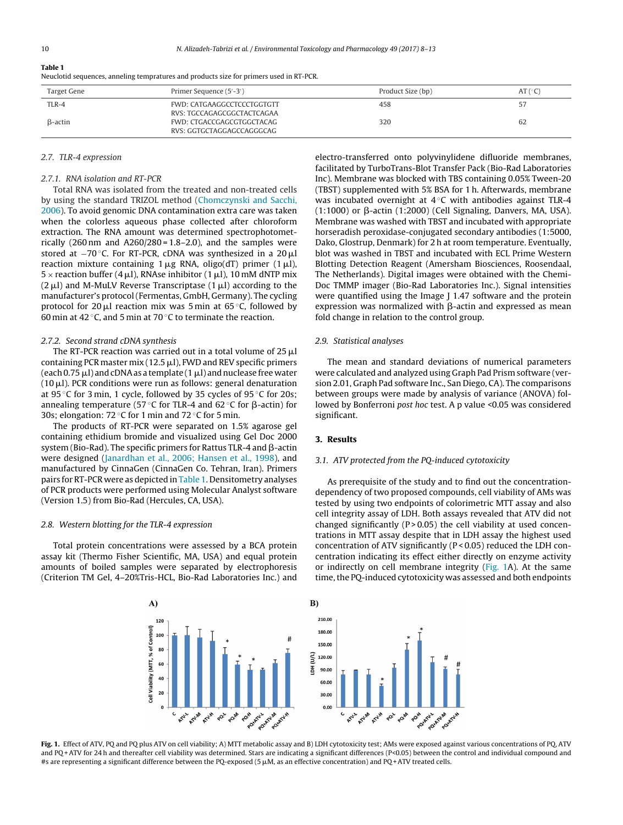## <span id="page-2-0"></span>**Table 1**

Neuclotid sequences, anneling tempratures and products size for primers used in RT-PCR.

| Target Gene    | Primer Sequence (5'-3')                                  | Product Size (bp) | AT $(°C)$ |
|----------------|----------------------------------------------------------|-------------------|-----------|
| TLR-4          | FWD: CATGAAGGCCTCCCTGGTGTT<br>RVS: TGCCAGAGCGGCTACTCAGAA | 458               | 57        |
| $\beta$ -actin | FWD: CTGACCGAGCGTGGCTACAG<br>RVS: GGTGCTAGGAGCCAGGCCAG   | 320               | 62        |

## 2.7. TLR-4 expression

# 2.7.1. RNA isolation and RT-PCR

Total RNA was isolated from the treated and non-treated cells by using the standard TRIZOL method [\(Chomczynski](#page-5-0) [and](#page-5-0) [Sacchi,](#page-5-0) [2006\).](#page-5-0) To avoid genomic DNA contamination extra care was taken when the colorless aqueous phase collected after chloroform extraction. The RNA amount was determined spectrophotometrically (260 nm and  $A260/280 = 1.8 - 2.0$ ), and the samples were stored at  $-70$  °C. For RT-PCR, cDNA was synthesized in a 20  $\mu$ l reaction mixture containing  $1 \mu$ g RNA, oligo(dT) primer  $(1 \mu)$ ,  $5 \times$  reaction buffer (4  $\mu$ l), RNAse inhibitor (1  $\mu$ l), 10 mM dNTP mix  $(2 \mu l)$  and M-MuLV Reverse Transcriptase  $(1 \mu l)$  according to the manufacturer's protocol(Fermentas, GmbH, Germany). The cycling protocol for 20  $\mu$ l reaction mix was 5 min at 65 °C, followed by 60 min at 42 ◦C, and 5 min at 70 ◦C to terminate the reaction.

## 2.7.2. Second strand cDNA synthesis

The RT-PCR reaction was carried out in a total volume of  $25 \mu l$ containing PCR master mix ( $12.5 \mu$ l), FWD and REV specific primers (each 0.75  $\mu$ l) and cDNA as a template (1  $\mu$ l) and nuclease free water (10  $\mu$ l). PCR conditions were run as follows: general denaturation at 95 ◦C for 3 min, 1 cycle, followed by 35 cycles of 95 ◦C for 20s; annealing temperature (57 °C for TLR-4 and 62 °C for  $\beta$ -actin) for 30s; elongation: 72 ◦C for 1 min and 72 ◦C for 5 min.

The products of RT-PCR were separated on 1.5% agarose gel containing ethidium bromide and visualized using Gel Doc 2000 system (Bio-Rad). The specific primers for Rattus TLR-4 and  $\beta$ -actin were designed ([Janardhan](#page-5-0) et [al.,](#page-5-0) [2006;](#page-5-0) [Hansen](#page-5-0) et [al.,](#page-5-0) [1998\),](#page-5-0) and manufactured by CinnaGen (CinnaGen Co. Tehran, Iran). Primers pairs for RT-PCR were as depicted in Table 1. Densitometry analyses of PCR products were performed using Molecular Analyst software (Version 1.5) from Bio-Rad (Hercules, CA, USA).

#### 2.8. Western blotting for the TLR-4 expression

Total protein concentrations were assessed by a BCA protein assay kit (Thermo Fisher Scientific, MA, USA) and equal protein amounts of boiled samples were separated by electrophoresis (Criterion TM Gel, 4–20%Tris-HCL, Bio-Rad Laboratories Inc.) and

electro-transferred onto polyvinylidene difluoride membranes, facilitated by TurboTrans-Blot Transfer Pack (Bio-Rad Laboratories Inc). Membrane was blocked with TBS containing 0.05% Tween-20 (TBST) supplemented with 5% BSA for 1 h. Afterwards, membrane was incubated overnight at 4 °C with antibodies against TLR-4  $(1:1000)$  or  $\beta$ -actin  $(1:2000)$  (Cell Signaling, Danvers, MA, USA). Membrane was washed with TBST and incubated with appropriate horseradish peroxidase-conjugated secondary antibodies (1:5000, Dako, Glostrup, Denmark) for 2 h at room temperature. Eventually, blot was washed in TBST and incubated with ECL Prime Western Blotting Detection Reagent (Amersham Biosciences, Roosendaal, The Netherlands). Digital images were obtained with the Chemi-Doc TMMP imager (Bio-Rad Laboratories Inc.). Signal intensities were quantified using the Image J 1.47 software and the protein expression was normalized with  $\beta$ -actin and expressed as mean fold change in relation to the control group.

## 2.9. Statistical analyses

The mean and standard deviations of numerical parameters were calculated and analyzed using Graph Pad Prism software (version 2.01, Graph Pad software Inc., San Diego, CA). The comparisons between groups were made by analysis of variance (ANOVA) followed by Bonferroni post hoc test. A p value <0.05 was considered significant.

## **3. Results**

## 3.1. ATV protected from the PQ-induced cytotoxicity

As prerequisite of the study and to find out the concentrationdependency of two proposed compounds, cell viability of AMs was tested by using two endpoints of colorimetric MTT assay and also cell integrity assay of LDH. Both assays revealed that ATV did not changed significantly ( $P > 0.05$ ) the cell viability at used concentrations in MTT assay despite that in LDH assay the highest used concentration of ATV significantly (P < 0.05) reduced the LDH concentration indicating its effect either directly on enzyme activity or indirectly on cell membrane integrity (Fig. 1A). At the same time, the PQ-induced cytotoxicity was assessed and both endpoints



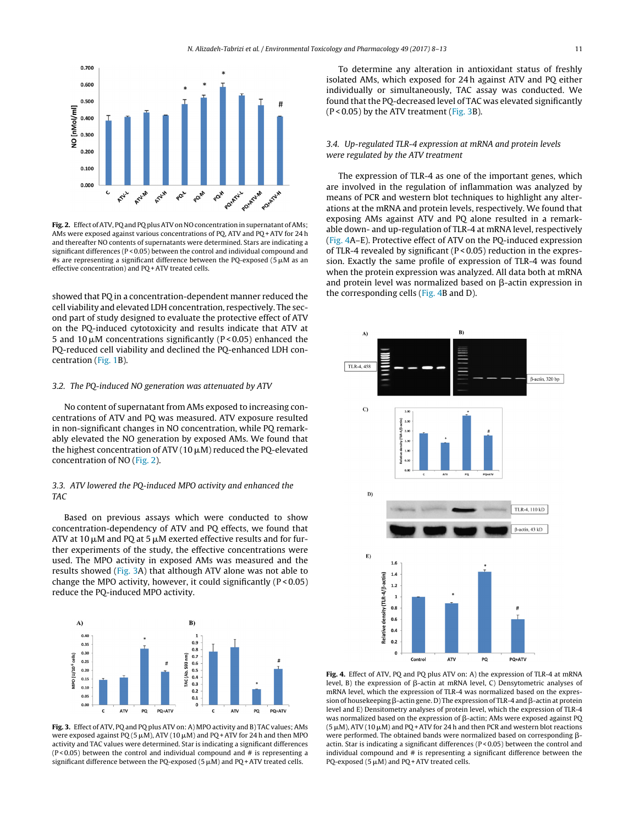

Fig. 2. Effect of ATV, PQ and PQ plus ATV on NO concentration in supernatant of AMs; AMs were exposed against various concentrations of PQ, ATV and PQ +ATV for 24 h and thereafter NO contents of supernatants were determined. Stars are indicating a significant differences (P < 0.05) between the control and individual compound and #s are representing a significant difference between the PQ-exposed (5  $\mu$ M as an effective concentration) and PQ +ATV treated cells.

showed that PQ in a concentration-dependent manner reduced the cell viability and elevated LDH concentration, respectively. The second part of study designed to evaluate the protective effect of ATV on the PQ-induced cytotoxicity and results indicate that ATV at 5 and 10  $\mu$ M concentrations significantly (P < 0.05) enhanced the PQ-reduced cell viability and declined the PQ-enhanced LDH concentration [\(Fig.](#page-2-0) 1B).

## 3.2. The PQ-induced NO generation was attenuated by ATV

No content of supernatant from AMs exposed to increasing concentrations of ATV and PQ was measured. ATV exposure resulted in non-significant changes in NO concentration, while PQ remarkably elevated the NO generation by exposed AMs. We found that the highest concentration of ATV (10  $\mu$ M) reduced the PQ-elevated concentration of NO (Fig. 2).

# 3.3. ATV lowered the PQ-induced MPO activity and enhanced the TAC

Based on previous assays which were conducted to show concentration-dependency of ATV and PQ effects, we found that ATV at 10  $\mu$ M and PQ at 5  $\mu$ M exerted effective results and for further experiments of the study, the effective concentrations were used. The MPO activity in exposed AMs was measured and the results showed (Fig. 3A) that although ATV alone was not able to change the MPO activity, however, it could significantly  $(P < 0.05)$ reduce the PQ-induced MPO activity.



**Fig. 3.** Effect of ATV, PQ and PQ plus ATV on: A) MPO activity and B) TAC values; AMs were exposed against PQ (5  $\mu$ M), ATV (10  $\mu$ M) and PQ + ATV for 24 h and then MPO activity and TAC values were determined. Star is indicating a significant differences  $(P < 0.05)$  between the control and individual compound and # is representing a significant difference between the PQ-exposed (5  $\mu$ M) and PQ + ATV treated cells.

To determine any alteration in antioxidant status of freshly isolated AMs, which exposed for 24 h against ATV and PQ either individually or simultaneously, TAC assay was conducted. We found that the PQ-decreased level of TAC was elevated significantly  $(P < 0.05)$  by the ATV treatment (Fig. 3B).

# 3.4. Up-regulated TLR-4 expression at mRNA and protein levels were regulated by the ATV treatment

The expression of TLR-4 as one of the important genes, which are involved in the regulation of inflammation was analyzed by means of PCR and western blot techniques to highlight any alterations at the mRNA and protein levels, respectively. We found that exposing AMs against ATV and PQ alone resulted in a remarkable down- and up-regulation of TLR-4 at mRNA level, respectively (Fig. 4A–E). Protective effect of ATV on the PQ-induced expression of TLR-4 revealed by significant (P < 0.05) reduction in the expression. Exactly the same profile of expression of TLR-4 was found when the protein expression was analyzed. All data both at mRNA and protein level was normalized based on  $\beta$ -actin expression in the corresponding cells (Fig. 4B and D).



**Fig. 4.** Effect of ATV, PQ and PQ plus ATV on: A) the expression of TLR-4 at mRNA level, B) the expression of  $\beta$ -actin at mRNA level, C) Densytometric analyses of mRNA level, which the expression of TLR-4 was normalized based on the expression of housekeeping  $\beta$ -actin gene. D) The expression of TLR-4 and  $\beta$ -actin at protein level and E) Densitometry analyses of protein level, which the expression of TLR-4 was normalized based on the expression of  $\beta$ -actin; AMs were exposed against PQ  $(5 \mu M)$ , ATV (10  $\mu$ M) and PQ + ATV for 24 h and then PCR and western blot reactions were performed. The obtained bands were normalized based on corresponding  $\beta$ actin. Star is indicating a significant differences (P < 0.05) between the control and individual compound and # is representing a significant difference between the PQ-exposed (5  $\mu$ M) and PQ + ATV treated cells.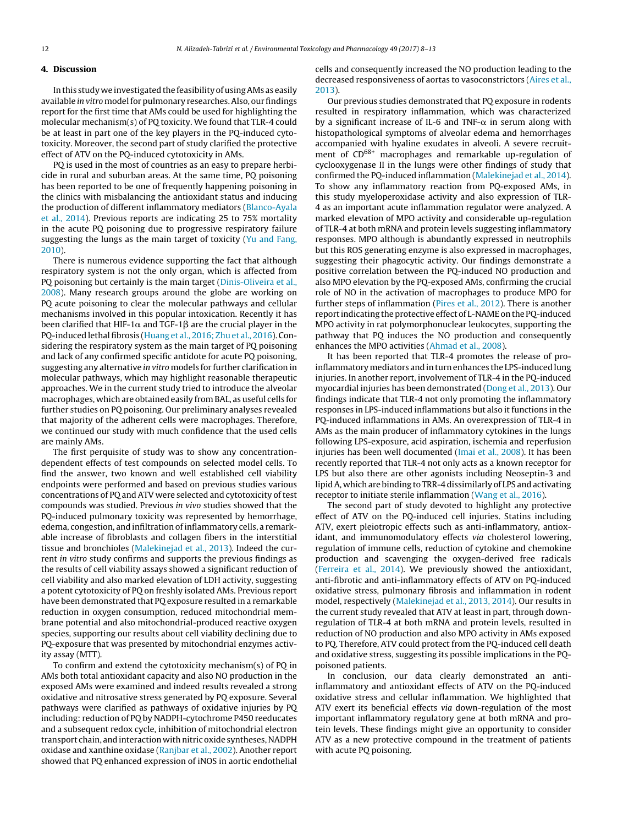#### **4. Discussion**

In this study we investigated the feasibility of using AMs as easily available in vitro model for pulmonary researches. Also, our findings report for the first time that AMs could be used for highlighting the molecular mechanism(s) of PQ toxicity. We found that TLR-4 could be at least in part one of the key players in the PQ-induced cytotoxicity. Moreover, the second part of study clarified the protective effect of ATV on the PQ-induced cytotoxicity in AMs.

PQ is used in the most of countries as an easy to prepare herbicide in rural and suburban areas. At the same time, PQ poisoning has been reported to be one of frequently happening poisoning in the clinics with misbalancing the antioxidant status and inducing the production of different inflammatory mediators ([Blanco-Ayala](#page-5-0) et [al.,](#page-5-0) [2014\).](#page-5-0) Previous reports are indicating 25 to 75% mortality in the acute PQ poisoning due to progressive respiratory failure suggesting the lungs as the main target of toxicity [\(Yu](#page-5-0) [and](#page-5-0) [Fang,](#page-5-0) [2010\).](#page-5-0)

There is numerous evidence supporting the fact that although respiratory system is not the only organ, which is affected from PQ poisoning but certainly is the main target [\(Dinis-Oliveira](#page-5-0) et [al.,](#page-5-0) [2008\).](#page-5-0) Many research groups around the globe are working on PQ acute poisoning to clear the molecular pathways and cellular mechanisms involved in this popular intoxication. Recently it has been clarified that HIF-1 $\alpha$  and TGF-1 $\beta$  are the crucial player in the PQ-induced lethal fibrosis [\(Huang](#page-5-0) et [al.,](#page-5-0) [2016;](#page-5-0) [Zhu](#page-5-0) et al., [2016\).](#page-5-0) Considering the respiratory system as the main target of PQ poisoning and lack of any confirmed specific antidote for acute PQ poisoning, suggesting any alternative in vitro models for further clarification in molecular pathways, which may highlight reasonable therapeutic approaches. We in the current study tried to introduce the alveolar macrophages, which are obtained easily from BAL, as useful cells for further studies on PQ poisoning. Our preliminary analyses revealed that majority of the adherent cells were macrophages. Therefore, we continued our study with much confidence that the used cells are mainly AMs.

The first perquisite of study was to show any concentrationdependent effects of test compounds on selected model cells. To find the answer, two known and well established cell viability endpoints were performed and based on previous studies various concentrations of PQ and ATV were selected and cytotoxicity of test compounds was studied. Previous in vivo studies showed that the PQ-induced pulmonary toxicity was represented by hemorrhage, edema, congestion, and infiltration of inflammatory cells, a remarkable increase of fibroblasts and collagen fibers in the interstitial tissue and bronchioles [\(Malekinejad](#page-5-0) et [al.,](#page-5-0) [2013\).](#page-5-0) Indeed the current in vitro study confirms and supports the previous findings as the results of cell viability assays showed a significant reduction of cell viability and also marked elevation of LDH activity, suggesting a potent cytotoxicity of PQ on freshly isolated AMs. Previous report have been demonstrated that PQ exposure resulted in a remarkable reduction in oxygen consumption, reduced mitochondrial membrane potential and also mitochondrial-produced reactive oxygen species, supporting our results about cell viability declining due to PQ-exposure that was presented by mitochondrial enzymes activity assay (MTT).

To confirm and extend the cytotoxicity mechanism(s) of PQ in AMs both total antioxidant capacity and also NO production in the exposed AMs were examined and indeed results revealed a strong oxidative and nitrosative stress generated by PQ exposure. Several pathways were clarified as pathways of oxidative injuries by PQ including: reduction of PQ by NADPH-cytochrome P450 reeducates and a subsequent redox cycle, inhibition of mitochondrial electron transport chain, and interaction with nitric oxide syntheses, NADPH oxidase and xanthine oxidase [\(Ranjbar](#page-5-0) et [al.,](#page-5-0) [2002\).](#page-5-0) Another report showed that PQ enhanced expression of iNOS in aortic endothelial

cells and consequently increased the NO production leading to the decreased responsiveness of aortas to vasoconstrictors [\(Aires](#page-5-0) et [al.,](#page-5-0) [2013\).](#page-5-0)

Our previous studies demonstrated that PQ exposure in rodents resulted in respiratory inflammation, which was characterized by a significant increase of IL-6 and TNF- $\alpha$  in serum along with histopathological symptoms of alveolar edema and hemorrhages accompanied with hyaline exudates in alveoli. A severe recruitment of CD<sup>68+</sup> macrophages and remarkable up-regulation of cyclooxygenase II in the lungs were other findings of study that confirmed the PQ-induced inflammation ([Malekinejad](#page-5-0) et [al.,](#page-5-0) [2014\).](#page-5-0) To show any inflammatory reaction from PQ-exposed AMs, in this study myeloperoxidase activity and also expression of TLR-4 as an important acute inflammation regulator were analyzed. A marked elevation of MPO activity and considerable up-regulation of TLR-4 at both mRNA and protein levels suggesting inflammatory responses. MPO although is abundantly expressed in neutrophils but this ROS generating enzyme is also expressed in macrophages, suggesting their phagocytic activity. Our findings demonstrate a positive correlation between the PQ-induced NO production and also MPO elevation by the PQ-exposed AMs, confirming the crucial role of NO in the activation of macrophages to produce MPO for further steps of inflammation [\(Pires](#page-5-0) et [al.,](#page-5-0) [2012\).](#page-5-0) There is another report indicating the protective effect of L-NAME on the PQ-induced MPO activity in rat polymorphonuclear leukocytes, supporting the pathway that PQ induces the NO production and consequently enhances the MPO activities ([Ahmad](#page-5-0) et [al.,](#page-5-0) [2008\).](#page-5-0)

It has been reported that TLR-4 promotes the release of proinflammatory mediators and in turn enhances the LPS-induced lung injuries. In another report, involvement of TLR-4 in the PQ-induced myocardial injuries has been demonstrated ([Dong](#page-5-0) et [al.,](#page-5-0) [2013\).](#page-5-0) Our findings indicate that TLR-4 not only promoting the inflammatory responses in LPS-induced inflammations but also it functions in the PQ-induced inflammations in AMs. An overexpression of TLR-4 in AMs as the main producer of inflammatory cytokines in the lungs following LPS-exposure, acid aspiration, ischemia and reperfusion injuries has been well documented ([Imai](#page-5-0) et [al.,](#page-5-0) [2008\).](#page-5-0) It has been recently reported that TLR-4 not only acts as a known receptor for LPS but also there are other agonists including Neoseptin-3 and lipid A, which are binding to TRR-4 dissimilarly of LPS and activating receptor to initiate sterile inflammation ([Wang](#page-5-0) et [al.,](#page-5-0) [2016\).](#page-5-0)

The second part of study devoted to highlight any protective effect of ATV on the PQ-induced cell injuries. Statins including ATV, exert pleiotropic effects such as anti-inflammatory, antioxidant, and immunomodulatory effects via cholesterol lowering, regulation of immune cells, reduction of cytokine and chemokine production and scavenging the oxygen-derived free radicals [\(Ferreira](#page-5-0) et [al.,](#page-5-0) [2014\).](#page-5-0) We previously showed the antioxidant, anti-fibrotic and anti-inflammatory effects of ATV on PQ-induced oxidative stress, pulmonary fibrosis and inflammation in rodent model, respectively ([Malekinejad](#page-5-0) et [al.,](#page-5-0) [2013,](#page-5-0) [2014\).](#page-5-0) Our results in the current study revealed that ATV at least in part, through downregulation of TLR-4 at both mRNA and protein levels, resulted in reduction of NO production and also MPO activity in AMs exposed to PQ. Therefore, ATV could protect from the PQ-induced cell death and oxidative stress, suggesting its possible implications in the PQpoisoned patients.

In conclusion, our data clearly demonstrated an antiinflammatory and antioxidant effects of ATV on the PQ-induced oxidative stress and cellular inflammation. We highlighted that ATV exert its beneficial effects via down-regulation of the most important inflammatory regulatory gene at both mRNA and protein levels. These findings might give an opportunity to consider ATV as a new protective compound in the treatment of patients with acute PQ poisoning.